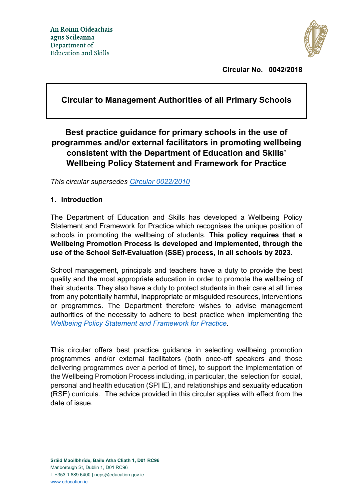

**Circular No. 0042/2018**

# **Circular to Management Authorities of all Primary Schools**

# **Best practice guidance for primary schools in the use of programmes and/or external facilitators in promoting wellbeing consistent with the Department of Education and Skills' Wellbeing Policy Statement and Framework for Practice**

*This circular supersedes [Circular 0022/2010](https://www.education.ie/en/Circulars-and-Forms/Archived-Circulars/cl0022_2010.pdf)*

### **1. Introduction**

The Department of Education and Skills has developed a Wellbeing Policy Statement and Framework for Practice which recognises the unique position of schools in promoting the wellbeing of students. **This policy requires that a Wellbeing Promotion Process is developed and implemented, through the use of the School Self-Evaluation (SSE) process, in all schools by 2023.** 

School management, principals and teachers have a duty to provide the best quality and the most appropriate education in order to promote the wellbeing of their students. They also have a duty to protect students in their care at all times from any potentially harmful, inappropriate or misguided resources, interventions or programmes. The Department therefore wishes to advise management authorities of the necessity to adhere to best practice when implementing the *[Wellbeing Policy Statement and Framework for Practice.](https://www.education.ie/en/Publications/Policy-Reports/wellbeing-policy-statement-and-framework-for-practice-2018–2023.pdf)*

This circular offers best practice guidance in selecting wellbeing promotion programmes and/or external facilitators (both once-off speakers and those delivering programmes over a period of time), to support the implementation of the Wellbeing Promotion Process including, in particular, the selection for social, personal and health education (SPHE), and relationships and sexuality education (RSE) curricula. The advice provided in this circular applies with effect from the date of issue.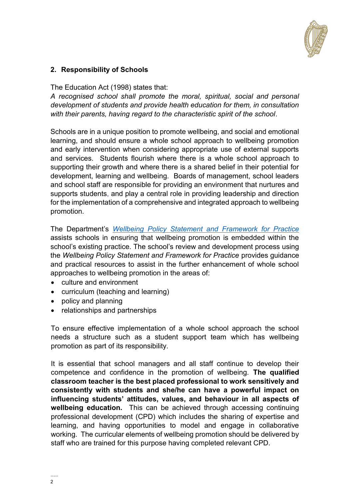

## **2. Responsibility of Schools**

The Education Act (1998) states that:

*A recognised school shall promote the moral, spiritual, social and personal development of students and provide health education for them, in consultation with their parents, having regard to the characteristic spirit of the school*.

Schools are in a unique position to promote wellbeing, and social and emotional learning, and should ensure a whole school approach to wellbeing promotion and early intervention when considering appropriate use of external supports and services. Students flourish where there is a whole school approach to supporting their growth and where there is a shared belief in their potential for development, learning and wellbeing. Boards of management, school leaders and school staff are responsible for providing an environment that nurtures and supports students, and play a central role in providing leadership and direction for the implementation of a comprehensive and integrated approach to wellbeing promotion.

The Department's *[Wellbeing Policy Statement and Framework for Practice](https://www.education.ie/en/Publications/Policy-Reports/wellbeing-policy-statement-and-framework-for-practice-2018–2023.pdf)* assists schools in ensuring that wellbeing promotion is embedded within the school's existing practice. The school's review and development process using the *Wellbeing Policy Statement and Framework for Practice* provides guidance and practical resources to assist in the further enhancement of whole school approaches to wellbeing promotion in the areas of:

- culture and environment
- curriculum (teaching and learning)
- policy and planning
- relationships and partnerships

To ensure effective implementation of a whole school approach the school needs a structure such as a student support team which has wellbeing promotion as part of its responsibility.

It is essential that school managers and all staff continue to develop their competence and confidence in the promotion of wellbeing. **The qualified classroom teacher is the best placed professional to work sensitively and consistently with students and she/he can have a powerful impact on influencing students' attitudes, values, and behaviour in all aspects of wellbeing education.** This can be achieved through accessing continuing professional development (CPD) which includes the sharing of expertise and learning, and having opportunities to model and engage in collaborative working. The curricular elements of wellbeing promotion should be delivered by staff who are trained for this purpose having completed relevant CPD.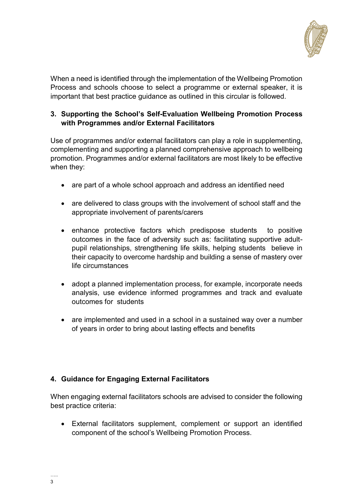

When a need is identified through the implementation of the Wellbeing Promotion Process and schools choose to select a programme or external speaker, it is important that best practice guidance as outlined in this circular is followed.

### **3. Supporting the School's Self-Evaluation Wellbeing Promotion Process with Programmes and/or External Facilitators**

Use of programmes and/or external facilitators can play a role in supplementing, complementing and supporting a planned comprehensive approach to wellbeing promotion. Programmes and/or external facilitators are most likely to be effective when they:

- are part of a whole school approach and address an identified need
- are delivered to class groups with the involvement of school staff and the appropriate involvement of parents/carers
- enhance protective factors which predispose students to positive outcomes in the face of adversity such as: facilitating supportive adultpupil relationships, strengthening life skills, helping students believe in their capacity to overcome hardship and building a sense of mastery over life circumstances
- adopt a planned implementation process, for example, incorporate needs analysis, use evidence informed programmes and track and evaluate outcomes for students
- are implemented and used in a school in a sustained way over a number of years in order to bring about lasting effects and benefits

# **4. Guidance for Engaging External Facilitators**

When engaging external facilitators schools are advised to consider the following best practice criteria:

 External facilitators supplement, complement or support an identified component of the school's Wellbeing Promotion Process.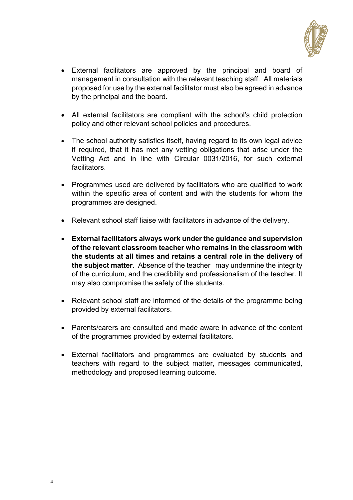

- External facilitators are approved by the principal and board of management in consultation with the relevant teaching staff. All materials proposed for use by the external facilitator must also be agreed in advance by the principal and the board.
- All external facilitators are compliant with the school's child protection policy and other relevant school policies and procedures.
- The school authority satisfies itself, having regard to its own legal advice if required, that it has met any vetting obligations that arise under the Vetting Act and in line with Circular 0031/2016, for such external facilitators.
- Programmes used are delivered by facilitators who are qualified to work within the specific area of content and with the students for whom the programmes are designed.
- Relevant school staff liaise with facilitators in advance of the delivery.
- **External facilitators always work under the guidance and supervision of the relevant classroom teacher who remains in the classroom with the students at all times and retains a central role in the delivery of the subject matter.** Absence of the teacher may undermine the integrity of the curriculum, and the credibility and professionalism of the teacher. It may also compromise the safety of the students.
- Relevant school staff are informed of the details of the programme being provided by external facilitators.
- Parents/carers are consulted and made aware in advance of the content of the programmes provided by external facilitators.
- External facilitators and programmes are evaluated by students and teachers with regard to the subject matter, messages communicated, methodology and proposed learning outcome.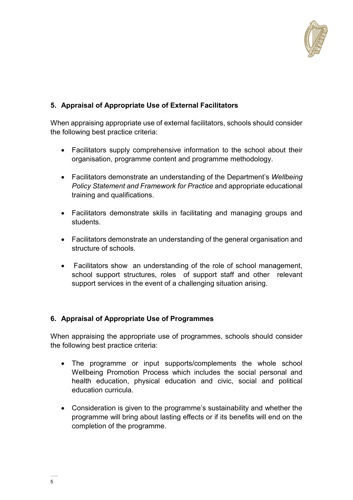

# **5. Appraisal of Appropriate Use of External Facilitators**

When appraising appropriate use of external facilitators, schools should consider the following best practice criteria:

- Facilitators supply comprehensive information to the school about their organisation, programme content and programme methodology.
- Facilitators demonstrate an understanding of the Department's *Wellbeing Policy Statement and Framework for Practice* and appropriate educational training and qualifications.
- Facilitators demonstrate skills in facilitating and managing groups and students.
- Facilitators demonstrate an understanding of the general organisation and structure of schools.
- Facilitators show an understanding of the role of school management, school support structures, roles of support staff and other relevant support services in the event of a challenging situation arising.

# **6. Appraisal of Appropriate Use of Programmes**

When appraising the appropriate use of programmes, schools should consider the following best practice criteria:

- The programme or input supports/complements the whole school Wellbeing Promotion Process which includes the social personal and health education, physical education and civic, social and political education curricula.
- Consideration is given to the programme's sustainability and whether the programme will bring about lasting effects or if its benefits will end on the completion of the programme.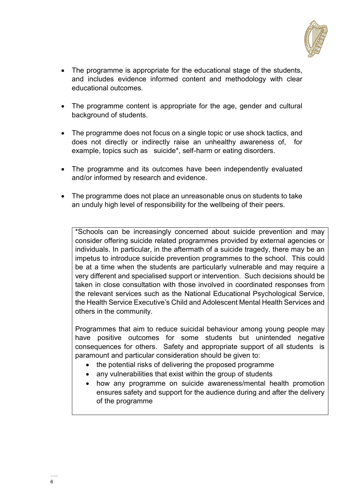

- The programme is appropriate for the educational stage of the students, and includes evidence informed content and methodology with clear educational outcomes.
- The programme content is appropriate for the age, gender and cultural background of students.
- The programme does not focus on a single topic or use shock tactics, and does not directly or indirectly raise an unhealthy awareness of, for example, topics such as suicide\*, self-harm or eating disorders.
- The programme and its outcomes have been independently evaluated and/or informed by research and evidence.
- The programme does not place an unreasonable onus on students to take an unduly high level of responsibility for the wellbeing of their peers.

\*Schools can be increasingly concerned about suicide prevention and may consider offering suicide related programmes provided by external agencies or individuals. In particular, in the aftermath of a suicide tragedy, there may be an impetus to introduce suicide prevention programmes to the school. This could be at a time when the students are particularly vulnerable and may require a very different and specialised support or intervention. Such decisions should be taken in close consultation with those involved in coordinated responses from the relevant services such as the National Educational Psychological Service, the Health Service Executive's Child and Adolescent Mental Health Services and others in the community.

Programmes that aim to reduce suicidal behaviour among young people may have positive outcomes for some students but unintended negative consequences for others. Safety and appropriate support of all students is paramount and particular consideration should be given to:

- the potential risks of delivering the proposed programme
- any vulnerabilities that exist within the group of students
- how any programme on suicide awareness/mental health promotion ensures safety and support for the audience during and after the delivery of the programme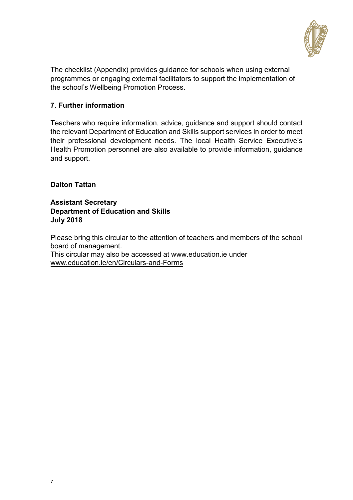

The checklist (Appendix) provides guidance for schools when using external programmes or engaging external facilitators to support the implementation of the school's Wellbeing Promotion Process.

### **7. Further information**

Teachers who require information, advice, guidance and support should contact the relevant Department of Education and Skills support services in order to meet their professional development needs. The local Health Service Executive's Health Promotion personnel are also available to provide information, guidance and support.

### **Dalton Tattan**

**Assistant Secretary Department of Education and Skills July 2018**

Please bring this circular to the attention of teachers and members of the school board of management.

This circular may also be accessed at [www.education.ie](http://www.education.ie/) under [www.education.ie/en/Circulars-and-Forms](http://www.education.ie/en/Circulars-and-Forms)